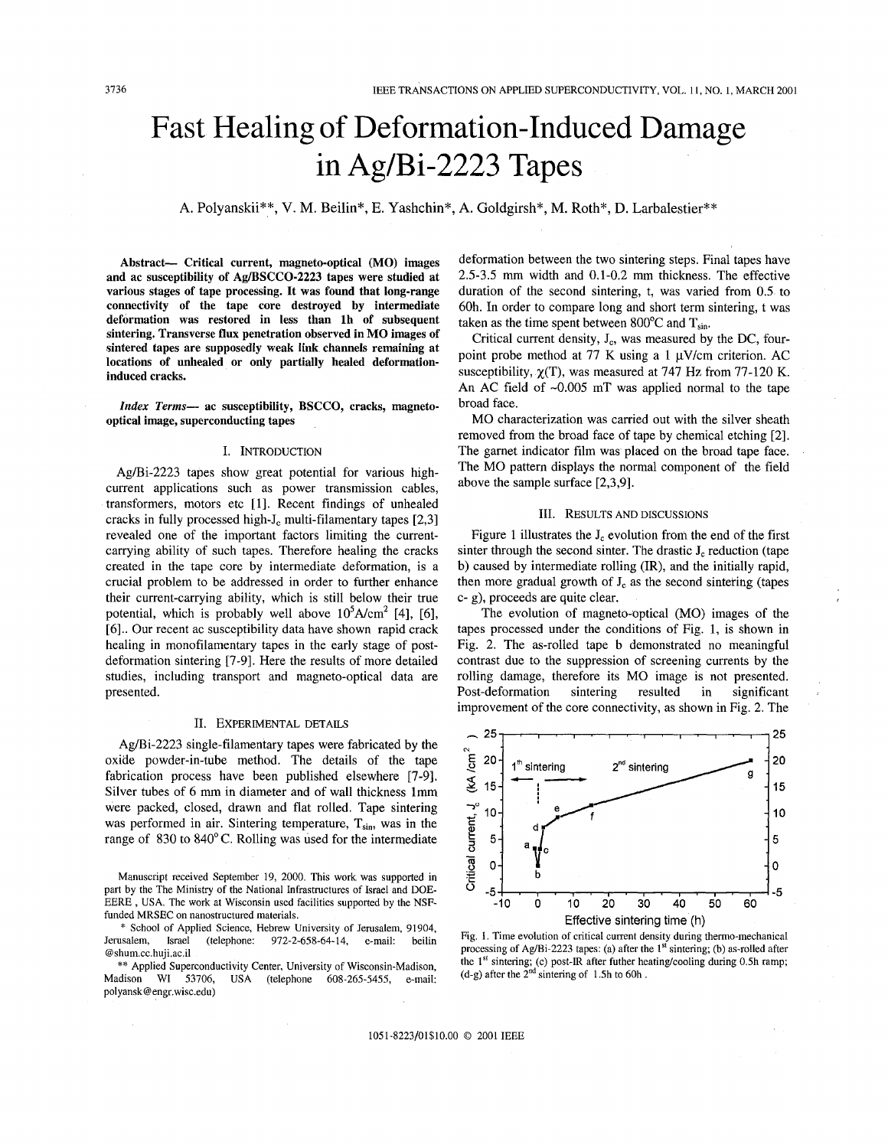# Fast Healing of Deformation-Induced Damage in Ag/Bi-2223 Tapes

A. Polyanskii\*\*, V. M. Beilin\*, E. Yashchin\*, A. Goldgirsh\*, M. Roth\*, D. Larbalestier\*\*

Abstract- Critical current, magneto-optical **(MO)** images and ac susceptibility of **Ag/BSCCO-2223** tapes were studied at various stages of tape processing. It was found that long-range connectivity of the tape core destroyed by intermediate deformation was restored in less than lh of subsequent sintering. Transverse **flux** penetration observed in **MO** images of sintered tapes are supposedly weak link channels remaining at locations of unhealed or only partially healed deformationinduced cracks.

*Zizdex Terms-* ac susceptibility, **BSCCO,** cracks, magnetooptical image, superconducting tapes

#### I. INTRODUCTION

Ag/Bi-2223 tapes show great potential for various highcurrent applications such as power transmission cables, transformers, motors etc [1]. Recent findings of unhealed cracks in fully processed high- $J_c$  multi-filamentary tapes [2,3] revealed one of the important factors limiting the currentcarrying ability of such tapes. Therefore healing the cracks created in the tape core by intermediate deformation, is a crucial problem to be addressed in order to further enhance their current-carrying ability, which is still below their true potential, which is probably well above  $10^5$ A/cm<sup>2</sup> [4], [6], [6].. Our recent ac susceptibility data have shown rapid crack healing in monofilamentary tapes in the early stage of postdeformation sintering [7-9]. Here the results of more detailed studies, including transport and magneto-optical data are presented.

### II. EXPERIMENTAL DETAILS

Ag/Bi-2223 single-filamentary tapes were fabricated by the oxide powder-in-tube method. The details of the tape fabrication process have been published elsewhere [7-91. Silver tubes of 6 mm in diameter and of wall thickness lmm were packed, closed, drawn and flat rolled. Tape sintering was performed in air. Sintering temperature,  $T_{sin}$ , was in the range of 830 to 840°C. Rolling was used for the intermediate deformation between the two sintering steps. Final tapes have 2.5-3.5 mm width and 0.1-0.2 mm thickness. The effective duration of the second sintering, t, was varied from 0.5 to 60h. In order to compare long and short term sintering, t was taken as the time spent between 800 $^{\circ}$ C and T<sub>sin</sub>.

Critical current density,  $J_c$ , was measured by the DC, fourpoint probe method at 77 K using a 1  $\mu$ V/cm criterion. AC susceptibility,  $\gamma(T)$ , was measured at 747 Hz from 77-120 K. An AC field of  $\sim 0.005$  mT was applied normal to the tape broad face.

MO characterization was carried out with the silver sheath removed from the broad face of tape by chemical etching [2]. The garnet indicator film was placed on the broad tape face. The MO pattern displays the normal component of the field above the sample surface [2,3,9].

### 111. RESULTS AND DISCUSSIONS

Figure 1 illustrates the  $J_c$  evolution from the end of the first sinter through the second sinter. The drastic  $J_c$  reduction (tape b) caused by intermediate rolling (IR), and the initially rapid, then more gradual growth of  $J_c$  as the second sintering (tapes c- g), proceeds are quite clear.

The evolution of magneto-optical (MO) images of the tapes processed under the conditions of Fig. 1, is shown in Fig. 2. The as-rolled tape b demonstrated no meaningful contrast due to the suppression of screening currents by the rolling damage, therefore its MO image is not presented. Post-deformation sintering resulted in significant improvement of the core connectivity, as shown in Fig. 2. The



Fig. **1.** Time evolution of critical current density during thermo-mechanical processing of Ag/Bi-2223 tapes: **(a)** after the **1''** sintering; (b) as-rolled after the  $1<sup>st</sup>$  sintering; (c) post-IR after futher heating/cooling during 0.5h ramp; (d-g) after the  $2<sup>nd</sup>$  sintering of 1.5h to 60h.

Manuscript received September 19, 2000. This work was supported in part by the The Ministry of the National Infrastructures of Israel and DOE-EERE , USA. The work at Wisconsin used facilities supported by the **NSF**funded MRSEC on nanostructured materials.

<sup>\*</sup> School of Applied Science, Hebrew University of Jerusalem, 91904, Jerusalem, Israel (telephone: 972-2-658-64-14, e-mail: beilin @shum.cc.huji.ac.il

<sup>\*\*</sup> Applied Superconductivity Center, University of Wisconsin-Madison, Madison WI 53706, USA (telephone 608-265-5455, e-mail: polyansk@engr.wisc.edu)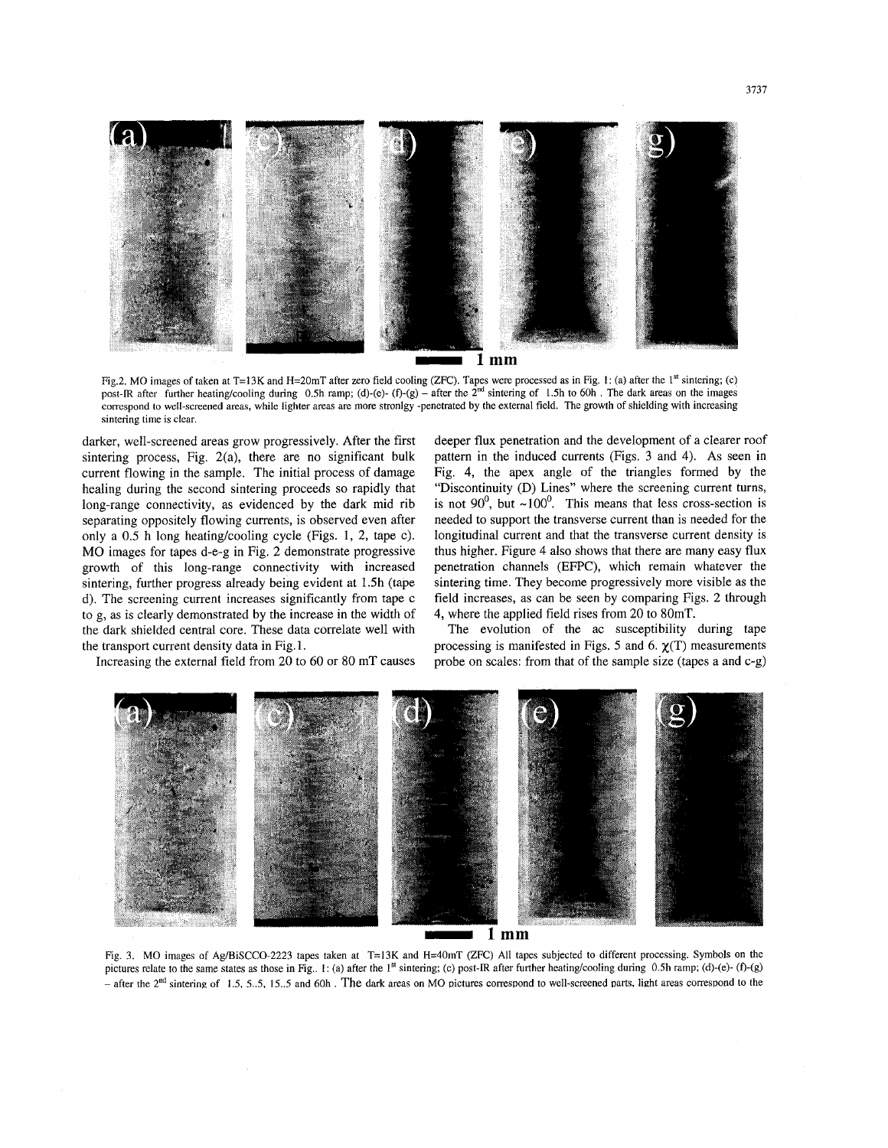

Fig.2. MO images of taken at T=13K and H=20mT after zero field cooling (ZFC). Tapes were processed as in Fig. **1:** (a) after the **lst** sintering; (c) post-IR after further heating/cooling during 0.5h ramp; (d)-(e)- (f)-(g) - after the  $2<sup>nd</sup>$  sintering of 1.5h to 60h. The dark areas on the images correspond to well-screened areas, while lighter areas are more stronlgy -penetrated **by** the external field. The growth of shielding with increasing sintering time is clear.

darker, well-screened areas grow progressively. After the first sintering process, Fig. 2(a), there are no significant bulk current flowing in the sample. The initial process of damage healing during the second sintering proceeds so rapidly that long-range connectivity, as evidenced by the dark mid rib separating oppositely flowing currents, is observed even after only a 0.5 h long heating/cooling cycle (Figs. 1, 2, tape c). MO images for tapes d-e-g in Fig, 2 demonstrate progressive growth of this long-range connectivity with increased sintering, further progress already being evident at 1.5h (tape d). The screening current increases significantly from tape c to g, as is clearly demonstrated by the increase in the width of the dark shielded central core. These data correlate well with the transport current density data in Fig. 1.

deeper flux penetration and the development of a clearer roof pattern in the induced currents (Figs. **3** and 4). **As** seen in Fig. 4, the apex angle of the triangles formed by the "Discontinuity (D) Lines" where the screening current turns, is not  $90^0$ , but  $\sim 100^0$ . This means that less cross-section is needed to support the transverse current than is needed for the longitudinal current and that the transverse current density is thus higher. Figure 4 also shows that there are many easy flux penetration channels (EFPC), which remain whatever the sintering time. They become progressively more visible as the field increases, as can be seen by comparing Figs. 2 through 4, where the applied field rises from 20 to 80mT.

Increasing the external field from 20 to 60 or 80 mT causes

The evolution of the ac susceptibility during tape processing is manifested in Figs.  $5$  and  $6$ .  $\gamma(T)$  measurements probe on scales: from that of the sample size (tapes a and c-g)



Fig. 3. MO images of Ag/BiSCCO-2223 tapes taken at T=13K and H=40mT (ZFC) All tapes subjected to different processing. **Symbols** on the pictures relate to the same states as those in Fig.,  $1$ : (a) after the  $1<sup>st</sup>$  sintering; (c) post-IR after further heating/cooling during 0.5h ramp; (d)-(e)- (f)-(g) - after the 2<sup>nd</sup> sintering of 1.5, 5..5, 15..5 and 60h. The dark areas on MO pictures correspond to well-screened parts, light areas correspond to the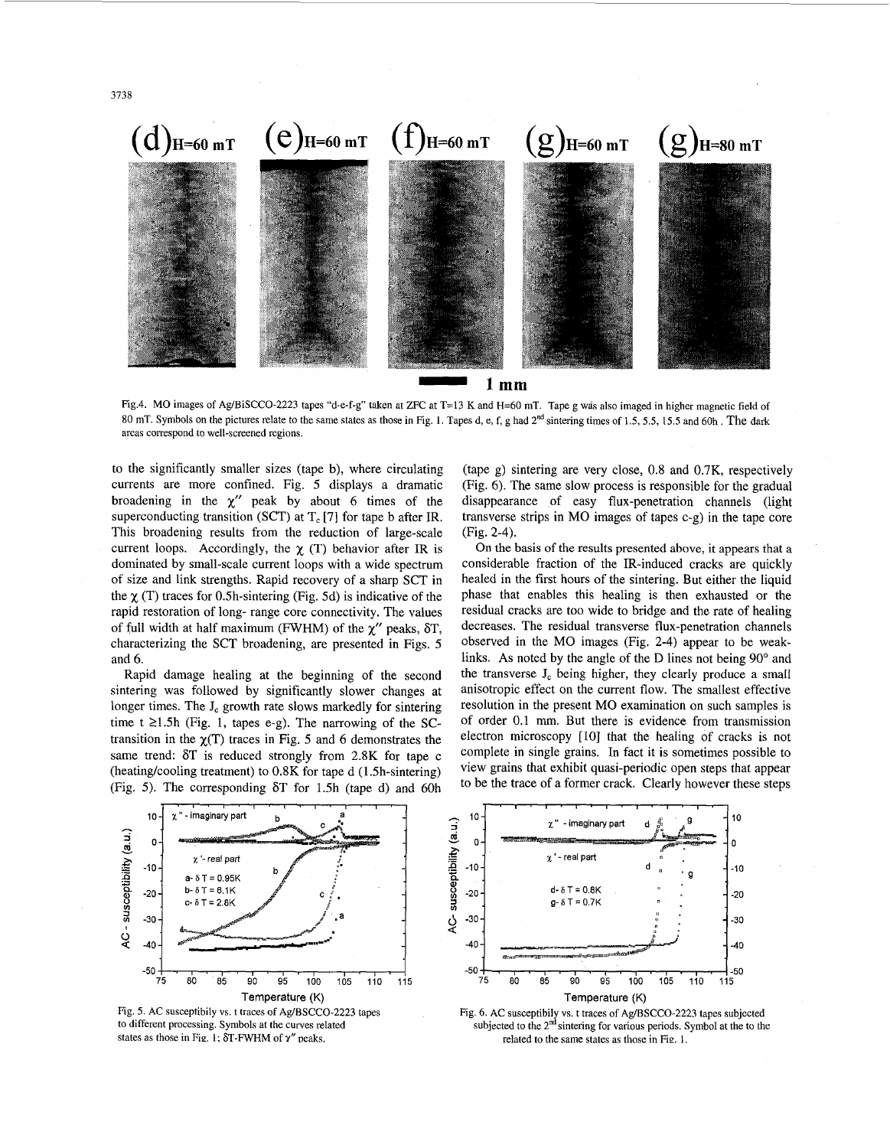

Fig.4. MO images of Ag/BiSCCO-2223 tapes "d-e-f-g" taken at ZFC at **T=13** K and H=60 mT. Tape g wds also imaged in higher magnetic field of 80 mT. Symbols on the pictures relate to the same states as those in Fig. 1. Tapes d, e, f, g had 2"d sintering times of 1.5, *5.5,* 15.5 and 60h . The dark areas correspond to well-screened regions.

to the significantly smaller sizes (tape b), where circulating currents are more confined. Fig. 5 displays a dramatic broadening in the  $\chi''$  peak by about 6 times of the superconducting transition (SCT) at  $T_c$  [7] for tape b after IR. This broadening results from the reduction of large-scale current loops. Accordingly, the  $\gamma$  (T) behavior after IR is dominated by small-scale current loops with a wide spectrum of size and link strengths. Rapid recovery of a sharp SCT in the  $\chi$  (T) traces for 0.5h-sintering (Fig. 5d) is indicative of the rapid restoration of long- range core connectivity. The values of full width at half maximum (FWHM) of the *x"* peaks, 6T, characterizing the SCT broadening, are presented in Figs. 5 and *6.* 

Rapid damage healing at the beginning of the second sintering was followed by significantly slower changes at longer times. The  $J_c$  growth rate slows markedly for sintering time  $t \ge 1.5h$  (Fig. 1, tapes e-g). The narrowing of the SCtransition in the  $\gamma(T)$  traces in Fig. 5 and 6 demonstrates the same trend: 6T is reduced strongly from 2.8K for tape c (heating/cooling treatment) to 0.8K for tape d (1.5h-sintering) (Fig. 5). The corresponding  $\delta T$  for 1.5h (tape d) and 60h

(tape g) sintering are very close, 0.8 and 0.7K, respectively (Fig. 6). The same slow process is responsible for the gradual disappearance of easy flux-penetration channels (light transverse strips in MO images of tapes c-g) in the tape core (Fig. 2-4).

On the basis of the results presented above, it appears that **a**  considerable fraction of the IR-induced cracks are quickly healed in the first hours of the sintering. But either the liquid phase that enables this healing is then exhausted or the residual cracks are too wide to bridge and the rate of healing decreases. The residual transverse flux-penetration channels observed in the MO images (Fig. 2-4) appear to be weaklinks. As noted by the angle of the D lines not being 90° and the transverse  $J_c$  being higher, they clearly produce a small anisotropic effect on the current flow. The smallest effective resolution in the present MO examination on such samples is of order 0.1 mm. But there is evidence from transmission electron microscopy [10] that the healing of cracks is not complete in single grains. In fact it is sometimes possible to view grains that exhibit quasi-periodic open steps that appear to be the trace of a former crack. Clearly however these steps







Fig. **6.** AC susceptibily vs. t traces of Ag/BSCCO-2223 tapes subjected subjected to the  $2<sup>nd</sup>$  sintering for various periods. Symbol at the to the related to the same states as those in Fig. **1.**